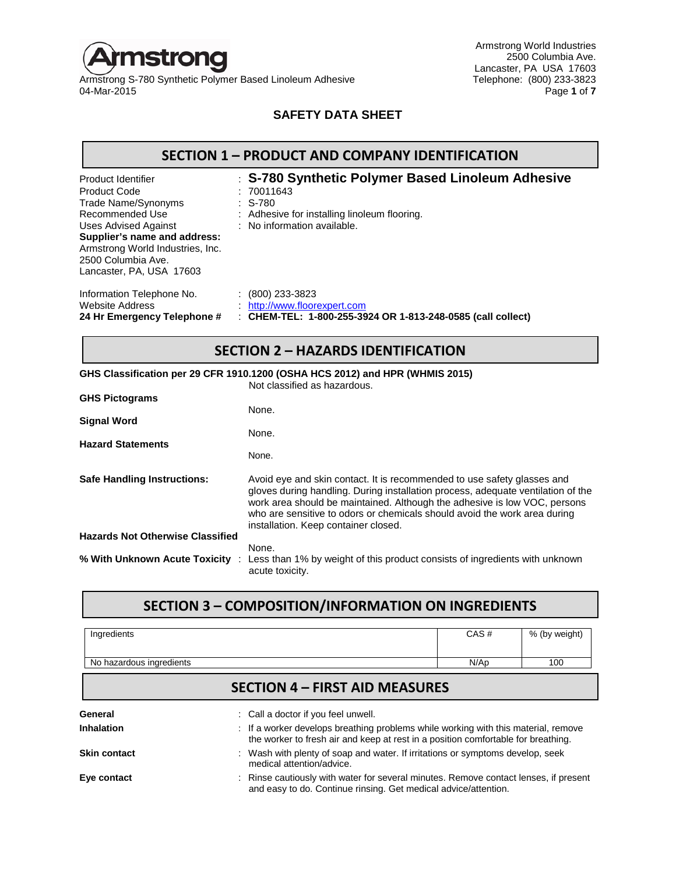

Armstrong S-780 Synthetic Polymer Based Linoleum Adhesive<br>04-Mar-2015

Armstrong World Industries 2500 Columbia Ave. Lancaster, PA USA 17603<br>Telephone: (800) 233-3823 04-Mar-2015 Page **1** of **7**

#### **SAFETY DATA SHEET**

| Product Identifier                                                                                                 | : S-780 Synthetic Polymer Based Linoleum Adhesive           |
|--------------------------------------------------------------------------------------------------------------------|-------------------------------------------------------------|
| <b>Product Code</b>                                                                                                | : 70011643                                                  |
| Trade Name/Synonyms                                                                                                | $: S-780$                                                   |
| Recommended Use                                                                                                    | : Adhesive for installing linoleum flooring.                |
| Uses Advised Against                                                                                               | : No information available.                                 |
| Supplier's name and address:<br>Armstrong World Industries, Inc.<br>2500 Columbia Ave.<br>Lancaster, PA, USA 17603 |                                                             |
| Information Telephone No.                                                                                          | (800) 233-3823                                              |
| Website Address                                                                                                    | : http://www.floorexpert.com                                |
| 24 Hr Emergency Telephone #                                                                                        | : CHEM-TEL: 1-800-255-3924 OR 1-813-248-0585 (call collect) |

# **SECTION 2 – HAZARDS IDENTIFICATION**

|                             | SECTIVIV Z = HAZANDS IDENTIFICATION                                                                                                                                                                                                                                                                                                                           |
|-----------------------------|---------------------------------------------------------------------------------------------------------------------------------------------------------------------------------------------------------------------------------------------------------------------------------------------------------------------------------------------------------------|
|                             | GHS Classification per 29 CFR 1910.1200 (OSHA HCS 2012) and HPR (WHMIS 2015)<br>Not classified as hazardous.                                                                                                                                                                                                                                                  |
| <b>GHS Pictograms</b>       | None.                                                                                                                                                                                                                                                                                                                                                         |
| Signal Word                 | None.                                                                                                                                                                                                                                                                                                                                                         |
| <b>Hazard Statements</b>    | None.                                                                                                                                                                                                                                                                                                                                                         |
| Safe Handling Instructions: | Avoid eye and skin contact. It is recommended to use safety glasses and<br>gloves during handling. During installation process, adequate ventilation of the<br>work area should be maintained. Although the adhesive is low VOC, persons<br>who are sensitive to odors or chemicals should avoid the work area during<br>installation. Keep container closed. |

**Hazards Not Otherwise Classified** None. **% With Unknown Acute Toxicity** : Less than 1% by weight of this product consists of ingredients with unknown acute toxicity.

## **SECTION 3 – COMPOSITION/INFORMATION ON INGREDIENTS**

| Ingredients              | CAS# | % (by weight) |
|--------------------------|------|---------------|
| No hazardous ingredients | N/Ap | 100           |

## **SECTION 4 – FIRST AID MEASURES**

| General<br>Inhalation | : Call a doctor if you feel unwell.<br>: If a worker develops breathing problems while working with this material, remove<br>the worker to fresh air and keep at rest in a position comfortable for breathing. |
|-----------------------|----------------------------------------------------------------------------------------------------------------------------------------------------------------------------------------------------------------|
| <b>Skin contact</b>   | : Wash with plenty of soap and water. If irritations or symptoms develop, seek<br>medical attention/advice.                                                                                                    |
| Eye contact           | : Rinse cautiously with water for several minutes. Remove contact lenses, if present<br>and easy to do. Continue rinsing. Get medical advice/attention.                                                        |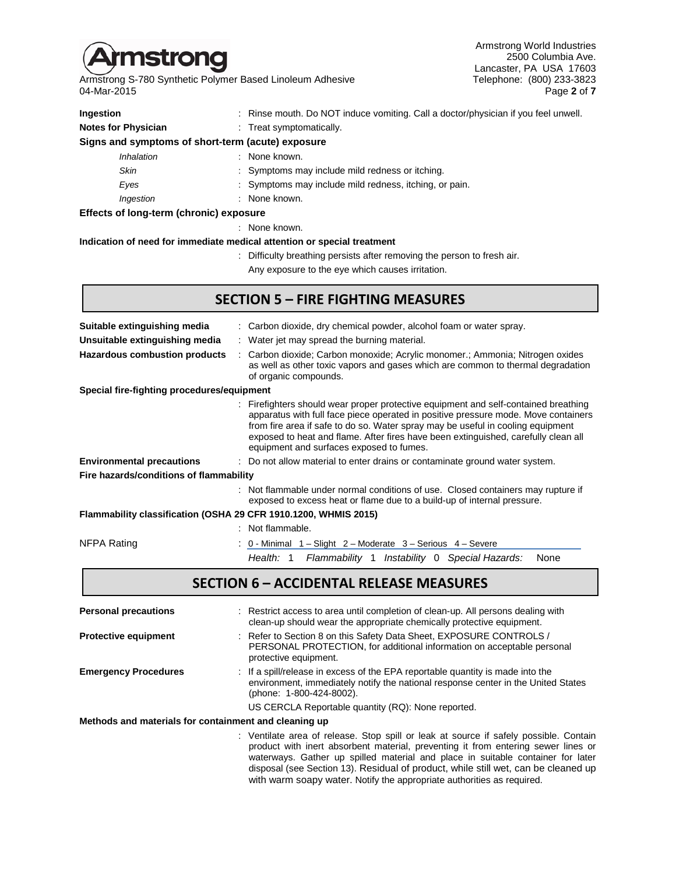

Armstrong S-780 Synthetic Polymer Based Linoleum Adhesive Telephone: (800) 233-3823 04-Mar-2015 Page **2** of **7**

Armstrong World Industries 2500 Columbia Ave. Lancaster, PA USA 17603<br>Telephone: (800) 233-3823

| Ingestion                                                               | Rinse mouth. Do NOT induce vomiting. Call a doctor/physician if you feel unwell.                                                                                                                                                                                                                                                                                                             |  |  |  |
|-------------------------------------------------------------------------|----------------------------------------------------------------------------------------------------------------------------------------------------------------------------------------------------------------------------------------------------------------------------------------------------------------------------------------------------------------------------------------------|--|--|--|
| <b>Notes for Physician</b>                                              | Treat symptomatically.                                                                                                                                                                                                                                                                                                                                                                       |  |  |  |
| Signs and symptoms of short-term (acute) exposure                       |                                                                                                                                                                                                                                                                                                                                                                                              |  |  |  |
| Inhalation                                                              | None known.                                                                                                                                                                                                                                                                                                                                                                                  |  |  |  |
| <b>Skin</b>                                                             | Symptoms may include mild redness or itching.                                                                                                                                                                                                                                                                                                                                                |  |  |  |
| Eyes                                                                    | Symptoms may include mild redness, itching, or pain.                                                                                                                                                                                                                                                                                                                                         |  |  |  |
| Ingestion                                                               | None known.                                                                                                                                                                                                                                                                                                                                                                                  |  |  |  |
| Effects of long-term (chronic) exposure                                 |                                                                                                                                                                                                                                                                                                                                                                                              |  |  |  |
|                                                                         | : None known.                                                                                                                                                                                                                                                                                                                                                                                |  |  |  |
| Indication of need for immediate medical attention or special treatment |                                                                                                                                                                                                                                                                                                                                                                                              |  |  |  |
|                                                                         | Difficulty breathing persists after removing the person to fresh air.                                                                                                                                                                                                                                                                                                                        |  |  |  |
|                                                                         | Any exposure to the eye which causes irritation.                                                                                                                                                                                                                                                                                                                                             |  |  |  |
|                                                                         | <b>SECTION 5 - FIRE FIGHTING MEASURES</b>                                                                                                                                                                                                                                                                                                                                                    |  |  |  |
|                                                                         |                                                                                                                                                                                                                                                                                                                                                                                              |  |  |  |
| Suitable extinguishing media                                            | Carbon dioxide, dry chemical powder, alcohol foam or water spray.                                                                                                                                                                                                                                                                                                                            |  |  |  |
| Unsuitable extinguishing media                                          | : Water jet may spread the burning material.                                                                                                                                                                                                                                                                                                                                                 |  |  |  |
| <b>Hazardous combustion products</b>                                    | Carbon dioxide; Carbon monoxide; Acrylic monomer.; Ammonia; Nitrogen oxides<br>as well as other toxic vapors and gases which are common to thermal degradation<br>of organic compounds.                                                                                                                                                                                                      |  |  |  |
| Special fire-fighting procedures/equipment                              |                                                                                                                                                                                                                                                                                                                                                                                              |  |  |  |
|                                                                         | Firefighters should wear proper protective equipment and self-contained breathing<br>apparatus with full face piece operated in positive pressure mode. Move containers<br>from fire area if safe to do so. Water spray may be useful in cooling equipment<br>exposed to heat and flame. After fires have been extinguished, carefully clean all<br>equipment and surfaces exposed to fumes. |  |  |  |
| <b>Environmental precautions</b>                                        | : Do not allow material to enter drains or contaminate ground water system.                                                                                                                                                                                                                                                                                                                  |  |  |  |
| Fire hazards/conditions of flammability                                 |                                                                                                                                                                                                                                                                                                                                                                                              |  |  |  |
|                                                                         |                                                                                                                                                                                                                                                                                                                                                                                              |  |  |  |

#### **Flammability classification (OSHA 29 CFR 1910.1200, WHMIS 2015)**

|             |  | : Not flammable.                                                       |  |  |
|-------------|--|------------------------------------------------------------------------|--|--|
| NFPA Rating |  | $: 0$ - Minimal $1 -$ Slight $2 -$ Moderate $3 -$ Serious $4 -$ Severe |  |  |
|             |  | Flammability 1 Instability 0 Special Hazards:<br>Health: 1<br>None     |  |  |
|             |  |                                                                        |  |  |

# **SECTION 6 – ACCIDENTAL RELEASE MEASURES**

| <b>Personal precautions</b>                           | : Restrict access to area until completion of clean-up. All persons dealing with<br>clean-up should wear the appropriate chemically protective equipment.                                                                                                                                                                                           |
|-------------------------------------------------------|-----------------------------------------------------------------------------------------------------------------------------------------------------------------------------------------------------------------------------------------------------------------------------------------------------------------------------------------------------|
| <b>Protective equipment</b>                           | : Refer to Section 8 on this Safety Data Sheet, EXPOSURE CONTROLS /<br>PERSONAL PROTECTION, for additional information on acceptable personal<br>protective equipment.                                                                                                                                                                              |
| <b>Emergency Procedures</b>                           | : If a spill/release in excess of the EPA reportable quantity is made into the<br>environment, immediately notify the national response center in the United States<br>(phone: 1-800-424-8002).                                                                                                                                                     |
|                                                       | US CERCLA Reportable quantity (RQ): None reported.                                                                                                                                                                                                                                                                                                  |
| Methods and materials for containment and cleaning up |                                                                                                                                                                                                                                                                                                                                                     |
|                                                       | : Ventilate area of release. Stop spill or leak at source if safely possible. Contain<br>product with inert absorbent material, preventing it from entering sewer lines or<br>waterways. Gather up spilled material and place in suitable container for later<br>disposal (see Section 13). Residual of product, while still wet, can be cleaned up |

with warm soapy water. Notify the appropriate authorities as required.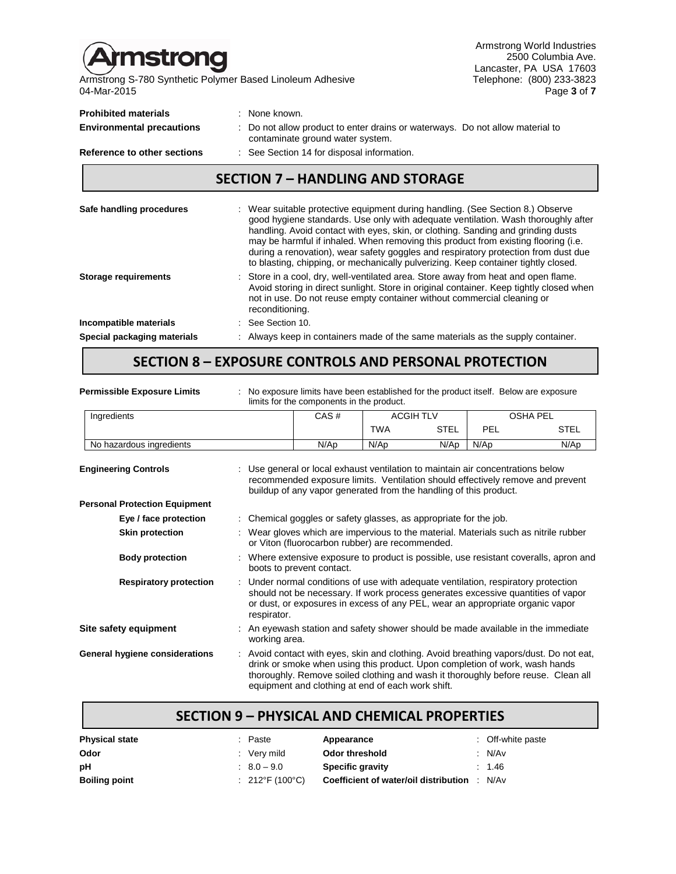mstrong

 $\overline{\phantom{0}}$ 

Armstrong S-780 Synthetic Polymer Based Linoleum Adhesive Telephone: (800) 233-3823 04-Mar-2015 Page **3** of **7**

Armstrong World Industries 2500 Columbia Ave. Lancaster, PA USA 17603<br>Telephone: (800) 233-3823

| Safe handling procedures                                        | Mear suitable protective equipment during bandling (See Section 8) Observe                                                         |
|-----------------------------------------------------------------|------------------------------------------------------------------------------------------------------------------------------------|
|                                                                 | <b>SECTION 7 - HANDLING AND STORAGE</b>                                                                                            |
| Reference to other sections                                     | : See Section 14 for disposal information.                                                                                         |
| <b>Prohibited materials</b><br><b>Environmental precautions</b> | : None known.<br>: Do not allow product to enter drains or waterways. Do not allow material to<br>contaminate ground water system. |
|                                                                 |                                                                                                                                    |

| Sare nandling procedures    | Wear suitable protective equipment during handling. (See Section 6.) Observer<br>good hygiene standards. Use only with adequate ventilation. Wash thoroughly after<br>handling. Avoid contact with eyes, skin, or clothing. Sanding and grinding dusts<br>may be harmful if inhaled. When removing this product from existing flooring (i.e.<br>during a renovation), wear safety goggles and respiratory protection from dust due<br>to blasting, chipping, or mechanically pulverizing. Keep container tightly closed. |
|-----------------------------|--------------------------------------------------------------------------------------------------------------------------------------------------------------------------------------------------------------------------------------------------------------------------------------------------------------------------------------------------------------------------------------------------------------------------------------------------------------------------------------------------------------------------|
| <b>Storage requirements</b> | : Store in a cool, dry, well-ventilated area. Store away from heat and open flame.<br>Avoid storing in direct sunlight. Store in original container. Keep tightly closed when<br>not in use. Do not reuse empty container without commercial cleaning or<br>reconditioning.                                                                                                                                                                                                                                              |
| Incompatible materials      | $\therefore$ See Section 10.                                                                                                                                                                                                                                                                                                                                                                                                                                                                                             |
| Special packaging materials | Always keep in containers made of the same materials as the supply container.                                                                                                                                                                                                                                                                                                                                                                                                                                            |

# **SECTION 8 – EXPOSURE CONTROLS AND PERSONAL PROTECTION**

| <b>Permissible Exposure Limits</b>   | No exposure limits have been established for the product itself. Below are exposure<br>limits for the components in the product.                                                                                                                                       |                                                                                                                                  |                  |             |                 |                                                                                                                                                                           |
|--------------------------------------|------------------------------------------------------------------------------------------------------------------------------------------------------------------------------------------------------------------------------------------------------------------------|----------------------------------------------------------------------------------------------------------------------------------|------------------|-------------|-----------------|---------------------------------------------------------------------------------------------------------------------------------------------------------------------------|
| Ingredients                          |                                                                                                                                                                                                                                                                        | CAS#                                                                                                                             | <b>ACGIH TLV</b> |             | <b>OSHA PEL</b> |                                                                                                                                                                           |
|                                      |                                                                                                                                                                                                                                                                        |                                                                                                                                  | <b>TWA</b>       | <b>STEL</b> | PEL             | <b>STEL</b>                                                                                                                                                               |
| No hazardous ingredients             |                                                                                                                                                                                                                                                                        | N/Ap                                                                                                                             | N/Ap             | N/Ap        | $N$ /Ap         | N/Ap                                                                                                                                                                      |
| <b>Engineering Controls</b>          | : Use general or local exhaust ventilation to maintain air concentrations below<br>recommended exposure limits. Ventilation should effectively remove and prevent<br>buildup of any vapor generated from the handling of this product.                                 |                                                                                                                                  |                  |             |                 |                                                                                                                                                                           |
| <b>Personal Protection Equipment</b> |                                                                                                                                                                                                                                                                        |                                                                                                                                  |                  |             |                 |                                                                                                                                                                           |
| Eye / face protection                |                                                                                                                                                                                                                                                                        | : Chemical goggles or safety glasses, as appropriate for the job.                                                                |                  |             |                 |                                                                                                                                                                           |
| <b>Skin protection</b>               | : Wear gloves which are impervious to the material. Materials such as nitrile rubber<br>or Viton (fluorocarbon rubber) are recommended.                                                                                                                                |                                                                                                                                  |                  |             |                 |                                                                                                                                                                           |
| <b>Body protection</b>               | : Where extensive exposure to product is possible, use resistant coveralls, apron and<br>boots to prevent contact.                                                                                                                                                     |                                                                                                                                  |                  |             |                 |                                                                                                                                                                           |
| <b>Respiratory protection</b>        | : Under normal conditions of use with adequate ventilation, respiratory protection<br>should not be necessary. If work process generates excessive quantities of vapor<br>or dust, or exposures in excess of any PEL, wear an appropriate organic vapor<br>respirator. |                                                                                                                                  |                  |             |                 |                                                                                                                                                                           |
| Site safety equipment                | working area.                                                                                                                                                                                                                                                          | An eyewash station and safety shower should be made available in the immediate                                                   |                  |             |                 |                                                                                                                                                                           |
| General hygiene considerations       |                                                                                                                                                                                                                                                                        | drink or smoke when using this product. Upon completion of work, wash hands<br>equipment and clothing at end of each work shift. |                  |             |                 | Avoid contact with eyes, skin and clothing. Avoid breathing vapors/dust. Do not eat,<br>thoroughly. Remove soiled clothing and wash it thoroughly before reuse. Clean all |

| <b>SECTION 9 - PHYSICAL AND CHEMICAL PROPERTIES</b> |                                |                                       |                   |  |  |  |
|-----------------------------------------------------|--------------------------------|---------------------------------------|-------------------|--|--|--|
| <b>Physical state</b>                               | : Paste                        | Appearance                            | : Off-white paste |  |  |  |
| Odor                                                | : Very mild                    | Odor threshold                        | : N/Av            |  |  |  |
| рH                                                  | $\therefore$ 8.0 - 9.0         | <b>Specific gravity</b>               | : 1.46            |  |  |  |
| <b>Boiling point</b>                                | : $212^{\circ}F(100^{\circ}C)$ | Coefficient of water/oil distribution | : N/Av            |  |  |  |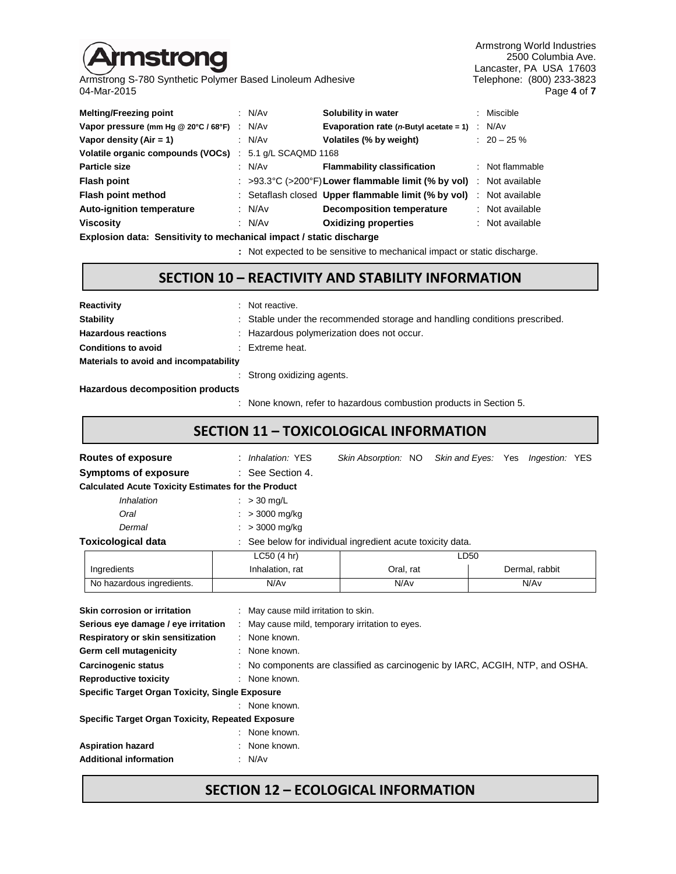# **strong**

Armstrong S-780 Synthetic Polymer Based Linoleum Adhesive<br>04-Mar-2015

Armstrong World Industries 2500 Columbia Ave. Lancaster, PA USA 17603<br>Telephone: (800) 233-3823 04-Mar-2015 Page **4** of **7**

| <b>Melting/Freezing point</b>        |        | : N/Av                     | Solubility in water                                                                     | : Miscible      |
|--------------------------------------|--------|----------------------------|-----------------------------------------------------------------------------------------|-----------------|
| Vapor pressure (mm Hg @ 20°C / 68°F) | $\sim$ | N/Av                       | Evaporation rate ( $n$ -Butyl acetate = 1)                                              | : N/Av          |
| Vapor density $(Air = 1)$            |        | : N/Av                     | Volatiles (% by weight)                                                                 | $: 20 - 25 \%$  |
| Volatile organic compounds (VOCs)    |        | $\div$ 5.1 g/L SCAQMD 1168 |                                                                                         |                 |
| <b>Particle size</b>                 |        | : N/Av                     | <b>Flammability classification</b>                                                      | : Not flammable |
| <b>Flash point</b>                   |        |                            | : $>93.3^{\circ}C$ ( $>200^{\circ}F$ ) Lower flammable limit (% by vol) : Not available |                 |
| Flash point method                   |        |                            | : Setaflash closed Upper flammable limit (% by vol)                                     | : Not available |
| <b>Auto-ignition temperature</b>     |        | : $N/Av$                   | <b>Decomposition temperature</b>                                                        | : Not available |
| <b>Viscosity</b>                     |        | : $N/Av$                   | <b>Oxidizing properties</b>                                                             | : Not available |
| _ _                                  |        |                            |                                                                                         |                 |

**Explosion data: Sensitivity to mechanical impact / static discharge**

**:** Not expected to be sensitive to mechanical impact or static discharge.

#### **SECTION 10 – REACTIVITY AND STABILITY INFORMATION**

| Reactivity                             |  | : Not reactive.                                                            |  |
|----------------------------------------|--|----------------------------------------------------------------------------|--|
| <b>Stability</b>                       |  | : Stable under the recommended storage and handling conditions prescribed. |  |
| <b>Hazardous reactions</b>             |  | : Hazardous polymerization does not occur.                                 |  |
| <b>Conditions to avoid</b>             |  | $\therefore$ Extreme heat.                                                 |  |
| Materials to avoid and incompatability |  |                                                                            |  |
|                                        |  | : Strong oxidizing agents.                                                 |  |

**Hazardous decomposition products**

: None known, refer to hazardous combustion products in Section 5.

**SECTION 11 – TOXICOLOGICAL INFORMATION**

| SECTION 11 - TOXICOLOGICAL INFORMATION                                                                                             |                                                                               |                                                            |  |                                   |  |  |
|------------------------------------------------------------------------------------------------------------------------------------|-------------------------------------------------------------------------------|------------------------------------------------------------|--|-----------------------------------|--|--|
| <b>Routes of exposure</b>                                                                                                          | : Inhalation: YES                                                             | Skin Absorption: NO                                        |  | Skin and Eyes: Yes Ingestion: YES |  |  |
| Symptoms of exposure                                                                                                               | : See Section 4.                                                              |                                                            |  |                                   |  |  |
| <b>Calculated Acute Toxicity Estimates for the Product</b>                                                                         |                                                                               |                                                            |  |                                   |  |  |
| <i><b>Inhalation</b></i>                                                                                                           | $\therefore$ > 30 mg/L                                                        |                                                            |  |                                   |  |  |
| Oral                                                                                                                               | $: > 3000$ mg/kg                                                              |                                                            |  |                                   |  |  |
| Dermal                                                                                                                             | $: > 3000 \text{ mg/kg}$                                                      |                                                            |  |                                   |  |  |
| <b>Toxicological data</b>                                                                                                          |                                                                               | : See below for individual ingredient acute toxicity data. |  |                                   |  |  |
|                                                                                                                                    | LC50 (4 hr)                                                                   | LD50                                                       |  |                                   |  |  |
| Ingredients                                                                                                                        | Inhalation, rat                                                               | Oral, rat                                                  |  | Dermal, rabbit                    |  |  |
| No hazardous ingredients.                                                                                                          | N/Av                                                                          | N/Av                                                       |  | N/Av                              |  |  |
| Skin corrosion or irritation<br>Serious eye damage / eye irritation<br>Respiratory or skin sensitization<br>Germ cell mutagenicity | : May cause mild irritation to skin.<br>: None known.<br>: None known.        | : May cause mild, temporary irritation to eyes.            |  |                                   |  |  |
| <b>Carcinogenic status</b>                                                                                                         | : No components are classified as carcinogenic by IARC, ACGIH, NTP, and OSHA. |                                                            |  |                                   |  |  |

**Specific Target Organ Toxicity, Single Exposure** : None known.

**Reproductive toxicity** : None known.

**Specific Target Organ Toxicity, Repeated Exposure**

| : None known. |
|---------------|
| : None known. |
| : N/Av        |
|               |

## **SECTION 12 – ECOLOGICAL INFORMATION**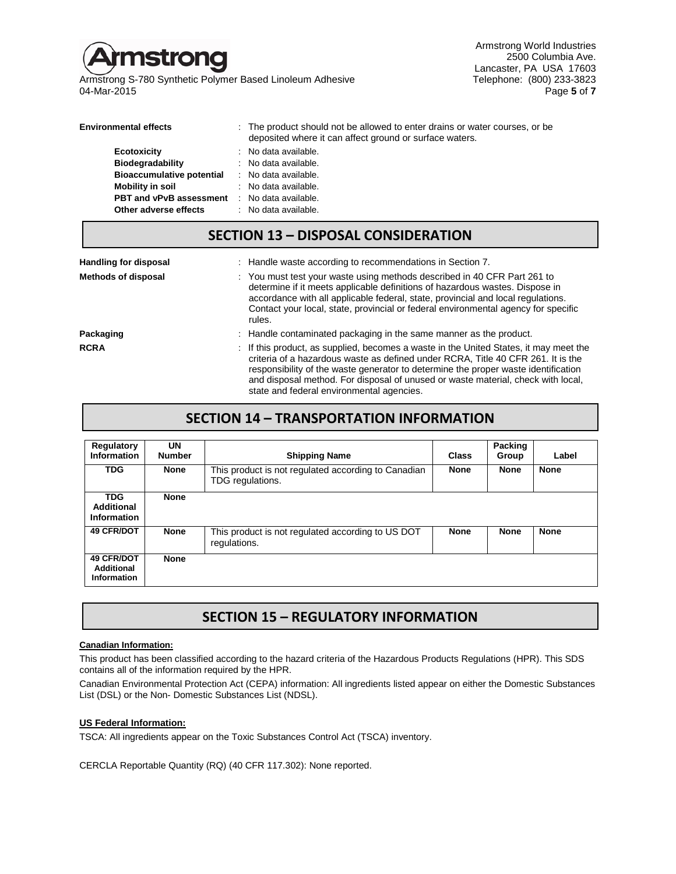

Armstrong S-780 Synthetic Polymer Based Linoleum Adhesive Telephone: (800) 233-3823<br>1 Page 5 of 7 04-Mar-2015 Page **5** of **7**

Armstrong World Industries 2500 Columbia Ave. Lancaster, PA USA 17603<br>Telephone: (800) 233-3823

| <b>Environmental effects</b>                        | : The product should not be allowed to enter drains or water courses, or be<br>deposited where it can affect ground or surface waters. |
|-----------------------------------------------------|----------------------------------------------------------------------------------------------------------------------------------------|
| <b>Ecotoxicity</b>                                  | : No data available.                                                                                                                   |
| <b>Biodegradability</b>                             | : No data available.                                                                                                                   |
| <b>Bioaccumulative potential</b>                    | : No data available.                                                                                                                   |
| Mobility in soil                                    | : No data available.                                                                                                                   |
| <b>PBT and vPvB assessment</b> : No data available. |                                                                                                                                        |
| Other adverse effects                               | $\therefore$ No data available.                                                                                                        |

### **SECTION 13 – DISPOSAL CONSIDERATION**

| <b>Handling for disposal</b> | : Handle waste according to recommendations in Section 7.                                                                                                                                                                                                                                                                                                                                        |
|------------------------------|--------------------------------------------------------------------------------------------------------------------------------------------------------------------------------------------------------------------------------------------------------------------------------------------------------------------------------------------------------------------------------------------------|
| <b>Methods of disposal</b>   | : You must test your waste using methods described in 40 CFR Part 261 to<br>determine if it meets applicable definitions of hazardous wastes. Dispose in<br>accordance with all applicable federal, state, provincial and local regulations.<br>Contact your local, state, provincial or federal environmental agency for specific<br>rules.                                                     |
| Packaging                    | : Handle contaminated packaging in the same manner as the product.                                                                                                                                                                                                                                                                                                                               |
| <b>RCRA</b>                  | : If this product, as supplied, becomes a waste in the United States, it may meet the<br>criteria of a hazardous waste as defined under RCRA, Title 40 CFR 261. It is the<br>responsibility of the waste generator to determine the proper waste identification<br>and disposal method. For disposal of unused or waste material, check with local,<br>state and federal environmental agencies. |

## **SECTION 14 – TRANSPORTATION INFORMATION**

| Regulatory<br><b>Information</b>               | UN<br><b>Number</b> | <b>Shipping Name</b>                                                    | Class       | Packing<br>Group | Label       |
|------------------------------------------------|---------------------|-------------------------------------------------------------------------|-------------|------------------|-------------|
| <b>TDG</b>                                     | <b>None</b>         | This product is not regulated according to Canadian<br>TDG regulations. | <b>None</b> | <b>None</b>      | <b>None</b> |
| <b>TDG</b><br>Additional<br><b>Information</b> | <b>None</b>         |                                                                         |             |                  |             |
| <b>49 CFR/DOT</b>                              | <b>None</b>         | This product is not regulated according to US DOT<br>regulations.       | <b>None</b> | <b>None</b>      | <b>None</b> |
| <b>49 CFR/DOT</b><br>Additional<br>Information | <b>None</b>         |                                                                         |             |                  |             |

## **SECTION 15 – REGULATORY INFORMATION**

#### **Canadian Information:**

This product has been classified according to the hazard criteria of the Hazardous Products Regulations (HPR). This SDS contains all of the information required by the HPR.

Canadian Environmental Protection Act (CEPA) information: All ingredients listed appear on either the Domestic Substances List (DSL) or the Non- Domestic Substances List (NDSL).

#### **US Federal Information:**

TSCA: All ingredients appear on the Toxic Substances Control Act (TSCA) inventory.

CERCLA Reportable Quantity (RQ) (40 CFR 117.302): None reported.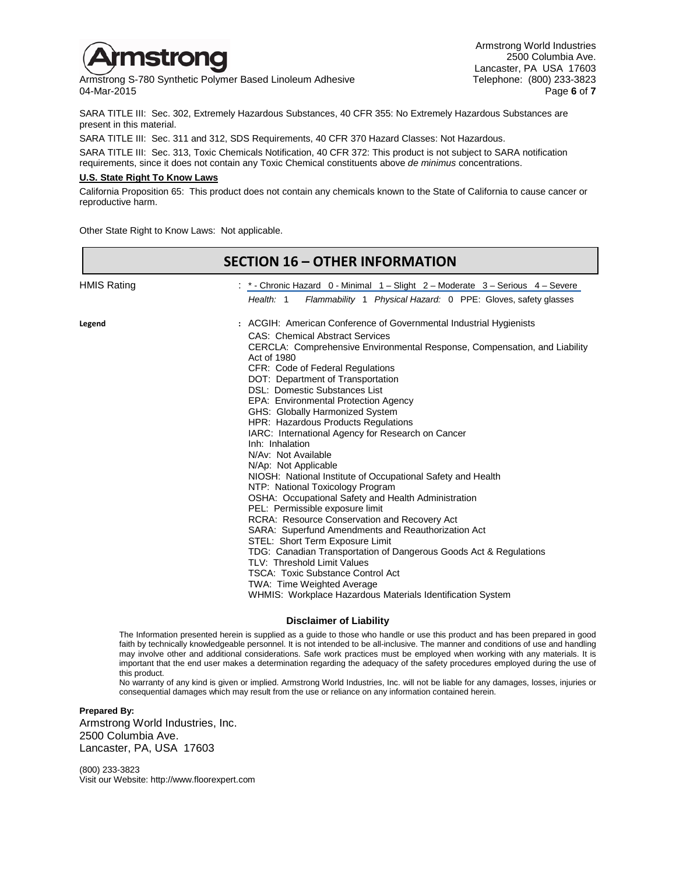

Armstrong S-780 Synthetic Polymer Based Linoleum Adhesive Telephone: (800) 233-3823<br>04-Mar-2015 Page 6 of 7 04-Mar-2015 Page **6** of **7**

Armstrong World Industries 2500 Columbia Ave. Lancaster, PA USA 17603<br>Telephone: (800) 233-3823

SARA TITLE III: Sec. 302, Extremely Hazardous Substances, 40 CFR 355: No Extremely Hazardous Substances are present in this material.

SARA TITLE III: Sec. 311 and 312, SDS Requirements, 40 CFR 370 Hazard Classes: Not Hazardous.

SARA TITLE III: Sec. 313, Toxic Chemicals Notification, 40 CFR 372: This product is not subject to SARA notification requirements, since it does not contain any Toxic Chemical constituents above *de minimus* concentrations.

#### **U.S. State Right To Know Laws**

California Proposition 65: This product does not contain any chemicals known to the State of California to cause cancer or reproductive harm.

Other State Right to Know Laws: Not applicable.

|                    | <b>SECTION 16 - OTHER INFORMATION</b>                                                                                                                                                                                                                                                                                                                                                                                                                                                                                                                                                                                                                                                                                                                                                                                                                                                                                                                                                                                                                                                                                                                       |
|--------------------|-------------------------------------------------------------------------------------------------------------------------------------------------------------------------------------------------------------------------------------------------------------------------------------------------------------------------------------------------------------------------------------------------------------------------------------------------------------------------------------------------------------------------------------------------------------------------------------------------------------------------------------------------------------------------------------------------------------------------------------------------------------------------------------------------------------------------------------------------------------------------------------------------------------------------------------------------------------------------------------------------------------------------------------------------------------------------------------------------------------------------------------------------------------|
| <b>HMIS Rating</b> | : * - Chronic Hazard 0 - Minimal 1 – Slight 2 – Moderate 3 – Serious 4 – Severe<br>Flammability 1 Physical Hazard: 0 PPE: Gloves, safety glasses<br>Health: 1                                                                                                                                                                                                                                                                                                                                                                                                                                                                                                                                                                                                                                                                                                                                                                                                                                                                                                                                                                                               |
| Legend             | : ACGIH: American Conference of Governmental Industrial Hygienists<br><b>CAS: Chemical Abstract Services</b><br>CERCLA: Comprehensive Environmental Response, Compensation, and Liability<br>Act of 1980<br>CFR: Code of Federal Regulations<br>DOT: Department of Transportation<br>DSL: Domestic Substances List<br>EPA: Environmental Protection Agency<br>GHS: Globally Harmonized System<br><b>HPR: Hazardous Products Regulations</b><br>IARC: International Agency for Research on Cancer<br>Inh: Inhalation<br>N/Av: Not Available<br>N/Ap: Not Applicable<br>NIOSH: National Institute of Occupational Safety and Health<br>NTP: National Toxicology Program<br>OSHA: Occupational Safety and Health Administration<br>PEL: Permissible exposure limit<br><b>RCRA: Resource Conservation and Recovery Act</b><br>SARA: Superfund Amendments and Reauthorization Act<br>STEL: Short Term Exposure Limit<br>TDG: Canadian Transportation of Dangerous Goods Act & Regulations<br>TLV: Threshold Limit Values<br><b>TSCA: Toxic Substance Control Act</b><br>TWA: Time Weighted Average<br>WHMIS: Workplace Hazardous Materials Identification System |

#### **Disclaimer of Liability**

The Information presented herein is supplied as a guide to those who handle or use this product and has been prepared in good faith by technically knowledgeable personnel. It is not intended to be all-inclusive. The manner and conditions of use and handling may involve other and additional considerations. Safe work practices must be employed when working with any materials. It is important that the end user makes a determination regarding the adequacy of the safety procedures employed during the use of this product.

No warranty of any kind is given or implied. Armstrong World Industries, Inc. will not be liable for any damages, losses, injuries or consequential damages which may result from the use or reliance on any information contained herein.

#### **Prepared By:**

Armstrong World Industries, Inc. 2500 Columbia Ave. Lancaster, PA, USA 17603

(800) 233-3823 Visit our Website: http://www.floorexpert.com